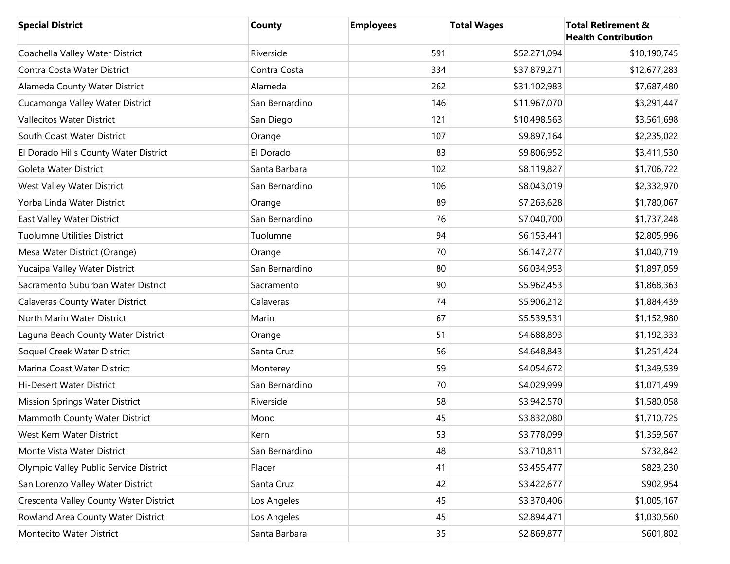| <b>Special District</b>                | <b>County</b>  | <b>Employees</b> | <b>Total Wages</b> | <b>Total Retirement &amp;</b><br><b>Health Contribution</b> |
|----------------------------------------|----------------|------------------|--------------------|-------------------------------------------------------------|
| Coachella Valley Water District        | Riverside      | 591              | \$52,271,094       | \$10,190,745                                                |
| Contra Costa Water District            | Contra Costa   | 334              | \$37,879,271       | \$12,677,283                                                |
| Alameda County Water District          | Alameda        | 262              | \$31,102,983       | \$7,687,480                                                 |
| Cucamonga Valley Water District        | San Bernardino | 146              | \$11,967,070       | \$3,291,447                                                 |
| <b>Vallecitos Water District</b>       | San Diego      | 121              | \$10,498,563       | \$3,561,698                                                 |
| South Coast Water District             | Orange         | 107              | \$9,897,164        | \$2,235,022                                                 |
| El Dorado Hills County Water District  | El Dorado      | 83               | \$9,806,952        | \$3,411,530                                                 |
| Goleta Water District                  | Santa Barbara  | 102              | \$8,119,827        | \$1,706,722                                                 |
| West Valley Water District             | San Bernardino | 106              | \$8,043,019        | \$2,332,970                                                 |
| Yorba Linda Water District             | Orange         | 89               | \$7,263,628        | \$1,780,067                                                 |
| East Valley Water District             | San Bernardino | 76               | \$7,040,700        | \$1,737,248                                                 |
| <b>Tuolumne Utilities District</b>     | Tuolumne       | 94               | \$6,153,441        | \$2,805,996                                                 |
| Mesa Water District (Orange)           | Orange         | 70               | \$6,147,277        | \$1,040,719                                                 |
| Yucaipa Valley Water District          | San Bernardino | 80               | \$6,034,953        | \$1,897,059                                                 |
| Sacramento Suburban Water District     | Sacramento     | 90               | \$5,962,453        | \$1,868,363                                                 |
| <b>Calaveras County Water District</b> | Calaveras      | 74               | \$5,906,212        | \$1,884,439                                                 |
| North Marin Water District             | Marin          | 67               | \$5,539,531        | \$1,152,980                                                 |
| Laguna Beach County Water District     | Orange         | 51               | \$4,688,893        | \$1,192,333                                                 |
| Soquel Creek Water District            | Santa Cruz     | 56               | \$4,648,843        | \$1,251,424                                                 |
| Marina Coast Water District            | Monterey       | 59               | \$4,054,672        | \$1,349,539                                                 |
| Hi-Desert Water District               | San Bernardino | 70               | \$4,029,999        | \$1,071,499                                                 |
| <b>Mission Springs Water District</b>  | Riverside      | 58               | \$3,942,570        | \$1,580,058                                                 |
| Mammoth County Water District          | Mono           | 45               | \$3,832,080        | \$1,710,725                                                 |
| West Kern Water District               | Kern           | 53               | \$3,778,099        | \$1,359,567                                                 |
| Monte Vista Water District             | San Bernardino | 48               | \$3,710,811        | \$732,842                                                   |
| Olympic Valley Public Service District | Placer         | 41               | \$3,455,477        | \$823,230                                                   |
| San Lorenzo Valley Water District      | Santa Cruz     | 42               | \$3,422,677        | \$902,954                                                   |
| Crescenta Valley County Water District | Los Angeles    | 45               | \$3,370,406        | \$1,005,167                                                 |
| Rowland Area County Water District     | Los Angeles    | 45               | \$2,894,471        | \$1,030,560                                                 |
| Montecito Water District               | Santa Barbara  | 35               | \$2,869,877        | \$601,802                                                   |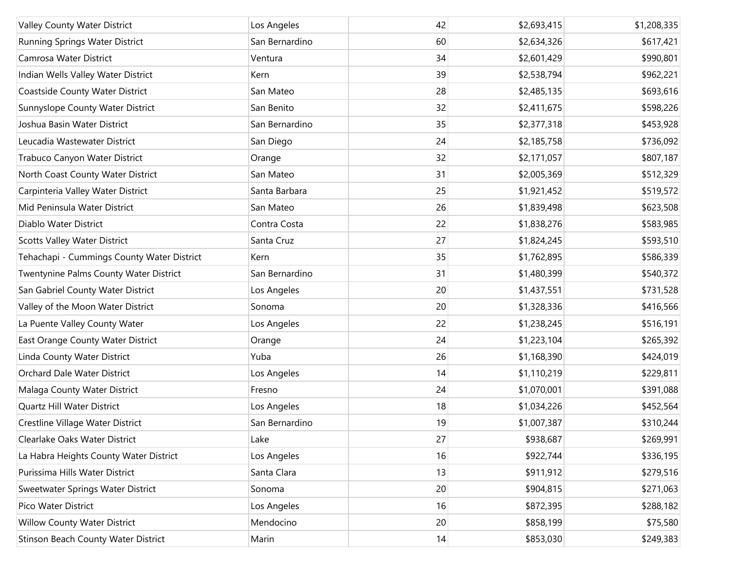| Valley County Water District               | Los Angeles    | 42 | \$2,693,415 | \$1,208,335 |
|--------------------------------------------|----------------|----|-------------|-------------|
| Running Springs Water District             | San Bernardino | 60 | \$2,634,326 | \$617,421   |
| Camrosa Water District                     | Ventura        | 34 | \$2,601,429 | \$990,801   |
| Indian Wells Valley Water District         | Kern           | 39 | \$2,538,794 | \$962,221   |
| Coastside County Water District            | San Mateo      | 28 | \$2,485,135 | \$693,616   |
| Sunnyslope County Water District           | San Benito     | 32 | \$2,411,675 | \$598,226   |
| Joshua Basin Water District                | San Bernardino | 35 | \$2,377,318 | \$453,928   |
| Leucadia Wastewater District               | San Diego      | 24 | \$2,185,758 | \$736,092   |
| Trabuco Canyon Water District              | Orange         | 32 | \$2,171,057 | \$807,187   |
| North Coast County Water District          | San Mateo      | 31 | \$2,005,369 | \$512,329   |
| Carpinteria Valley Water District          | Santa Barbara  | 25 | \$1,921,452 | \$519,572   |
| Mid Peninsula Water District               | San Mateo      | 26 | \$1,839,498 | \$623,508   |
| Diablo Water District                      | Contra Costa   | 22 | \$1,838,276 | \$583,985   |
| <b>Scotts Valley Water District</b>        | Santa Cruz     | 27 | \$1,824,245 | \$593,510   |
| Tehachapi - Cummings County Water District | Kern           | 35 | \$1,762,895 | \$586,339   |
| Twentynine Palms County Water District     | San Bernardino | 31 | \$1,480,399 | \$540,372   |
| San Gabriel County Water District          | Los Angeles    | 20 | \$1,437,551 | \$731,528   |
| Valley of the Moon Water District          | Sonoma         | 20 | \$1,328,336 | \$416,566   |
| La Puente Valley County Water              | Los Angeles    | 22 | \$1,238,245 | \$516,191   |
| East Orange County Water District          | Orange         | 24 | \$1,223,104 | \$265,392   |
| Linda County Water District                | Yuba           | 26 | \$1,168,390 | \$424,019   |
| Orchard Dale Water District                | Los Angeles    | 14 | \$1,110,219 | \$229,811   |
| Malaga County Water District               | Fresno         | 24 | \$1,070,001 | \$391,088   |
| Quartz Hill Water District                 | Los Angeles    | 18 | \$1,034,226 | \$452,564   |
| Crestline Village Water District           | San Bernardino | 19 | \$1,007,387 | \$310,244   |
| Clearlake Oaks Water District              | Lake           | 27 | \$938,687   | \$269,991   |
| La Habra Heights County Water District     | Los Angeles    | 16 | \$922,744   | \$336,195   |
| Purissima Hills Water District             | Santa Clara    | 13 | \$911,912   | \$279,516   |
| Sweetwater Springs Water District          | Sonoma         | 20 | \$904,815   | \$271,063   |
| Pico Water District                        | Los Angeles    | 16 | \$872,395   | \$288,182   |
| <b>Willow County Water District</b>        | Mendocino      | 20 | \$858,199   | \$75,580    |
| Stinson Beach County Water District        | Marin          | 14 | \$853,030   | \$249,383   |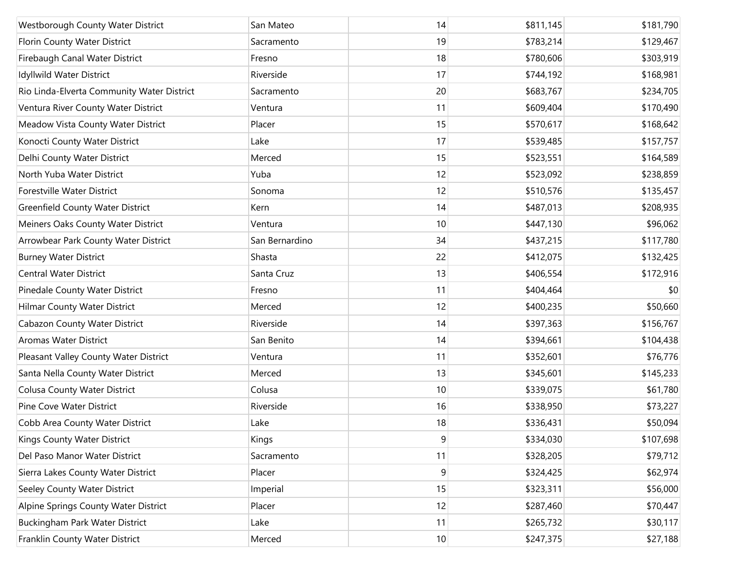| Westborough County Water District          | San Mateo      | 14 | \$811,145 | \$181,790 |
|--------------------------------------------|----------------|----|-----------|-----------|
| Florin County Water District               | Sacramento     | 19 | \$783,214 | \$129,467 |
| Firebaugh Canal Water District             | Fresno         | 18 | \$780,606 | \$303,919 |
| Idyllwild Water District                   | Riverside      | 17 | \$744,192 | \$168,981 |
| Rio Linda-Elverta Community Water District | Sacramento     | 20 | \$683,767 | \$234,705 |
| Ventura River County Water District        | Ventura        | 11 | \$609,404 | \$170,490 |
| Meadow Vista County Water District         | Placer         | 15 | \$570,617 | \$168,642 |
| Konocti County Water District              | Lake           | 17 | \$539,485 | \$157,757 |
| Delhi County Water District                | Merced         | 15 | \$523,551 | \$164,589 |
| North Yuba Water District                  | Yuba           | 12 | \$523,092 | \$238,859 |
| Forestville Water District                 | Sonoma         | 12 | \$510,576 | \$135,457 |
| <b>Greenfield County Water District</b>    | Kern           | 14 | \$487,013 | \$208,935 |
| Meiners Oaks County Water District         | Ventura        | 10 | \$447,130 | \$96,062  |
| Arrowbear Park County Water District       | San Bernardino | 34 | \$437,215 | \$117,780 |
| <b>Burney Water District</b>               | Shasta         | 22 | \$412,075 | \$132,425 |
| <b>Central Water District</b>              | Santa Cruz     | 13 | \$406,554 | \$172,916 |
| Pinedale County Water District             | Fresno         | 11 | \$404,464 | \$0       |
| <b>Hilmar County Water District</b>        | Merced         | 12 | \$400,235 | \$50,660  |
| <b>Cabazon County Water District</b>       | Riverside      | 14 | \$397,363 | \$156,767 |
| <b>Aromas Water District</b>               | San Benito     | 14 | \$394,661 | \$104,438 |
| Pleasant Valley County Water District      | Ventura        | 11 | \$352,601 | \$76,776  |
| Santa Nella County Water District          | Merced         | 13 | \$345,601 | \$145,233 |
| <b>Colusa County Water District</b>        | Colusa         | 10 | \$339,075 | \$61,780  |
| Pine Cove Water District                   | Riverside      | 16 | \$338,950 | \$73,227  |
| Cobb Area County Water District            | Lake           | 18 | \$336,431 | \$50,094  |
| Kings County Water District                | Kings          | 9  | \$334,030 | \$107,698 |
| Del Paso Manor Water District              | Sacramento     | 11 | \$328,205 | \$79,712  |
| Sierra Lakes County Water District         | Placer         | 9  | \$324,425 | \$62,974  |
| Seeley County Water District               | Imperial       | 15 | \$323,311 | \$56,000  |
| Alpine Springs County Water District       | Placer         | 12 | \$287,460 | \$70,447  |
| Buckingham Park Water District             | Lake           | 11 | \$265,732 | \$30,117  |
| Franklin County Water District             | Merced         | 10 | \$247,375 | \$27,188  |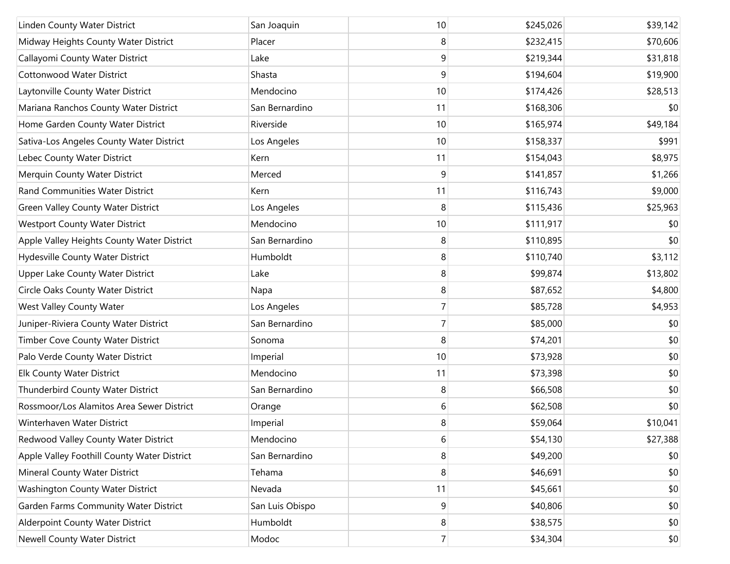| Linden County Water District                | San Joaquin     | 10             | \$245,026 | \$39,142 |
|---------------------------------------------|-----------------|----------------|-----------|----------|
| Midway Heights County Water District        | Placer          | 8              | \$232,415 | \$70,606 |
| Callayomi County Water District             | Lake            | 9              | \$219,344 | \$31,818 |
| <b>Cottonwood Water District</b>            | Shasta          | 9              | \$194,604 | \$19,900 |
| Laytonville County Water District           | Mendocino       | 10             | \$174,426 | \$28,513 |
| Mariana Ranchos County Water District       | San Bernardino  | 11             | \$168,306 | \$0      |
| Home Garden County Water District           | Riverside       | 10             | \$165,974 | \$49,184 |
| Sativa-Los Angeles County Water District    | Los Angeles     | 10             | \$158,337 | \$991    |
| Lebec County Water District                 | Kern            | 11             | \$154,043 | \$8,975  |
| Merquin County Water District               | Merced          | 9              | \$141,857 | \$1,266  |
| Rand Communities Water District             | Kern            | 11             | \$116,743 | \$9,000  |
| <b>Green Valley County Water District</b>   | Los Angeles     | 8              | \$115,436 | \$25,963 |
| <b>Westport County Water District</b>       | Mendocino       | 10             | \$111,917 | \$0      |
| Apple Valley Heights County Water District  | San Bernardino  | 8              | \$110,895 | \$0      |
| Hydesville County Water District            | Humboldt        | 8              | \$110,740 | \$3,112  |
| Upper Lake County Water District            | Lake            | 8              | \$99,874  | \$13,802 |
| Circle Oaks County Water District           | Napa            | 8              | \$87,652  | \$4,800  |
| West Valley County Water                    | Los Angeles     | $\overline{7}$ | \$85,728  | \$4,953  |
| Juniper-Riviera County Water District       | San Bernardino  | $\overline{7}$ | \$85,000  | \$0      |
| Timber Cove County Water District           | Sonoma          | 8              | \$74,201  | \$0      |
| Palo Verde County Water District            | Imperial        | 10             | \$73,928  | \$0      |
| <b>Elk County Water District</b>            | Mendocino       | 11             | \$73,398  | \$0      |
| Thunderbird County Water District           | San Bernardino  | 8              | \$66,508  | \$0      |
| Rossmoor/Los Alamitos Area Sewer District   | Orange          | 6              | \$62,508  | \$0      |
| Winterhaven Water District                  | Imperial        | 8              | \$59,064  | \$10,041 |
| Redwood Valley County Water District        | Mendocino       | 6              | \$54,130  | \$27,388 |
| Apple Valley Foothill County Water District | San Bernardino  | 8              | \$49,200  | \$0      |
| Mineral County Water District               | Tehama          | 8              | \$46,691  | \$0      |
| Washington County Water District            | Nevada          | 11             | \$45,661  | \$0      |
| Garden Farms Community Water District       | San Luis Obispo | 9              | \$40,806  | \$0      |
| Alderpoint County Water District            | Humboldt        | 8              | \$38,575  | \$0      |
| <b>Newell County Water District</b>         | Modoc           | $\overline{7}$ | \$34,304  | \$0      |